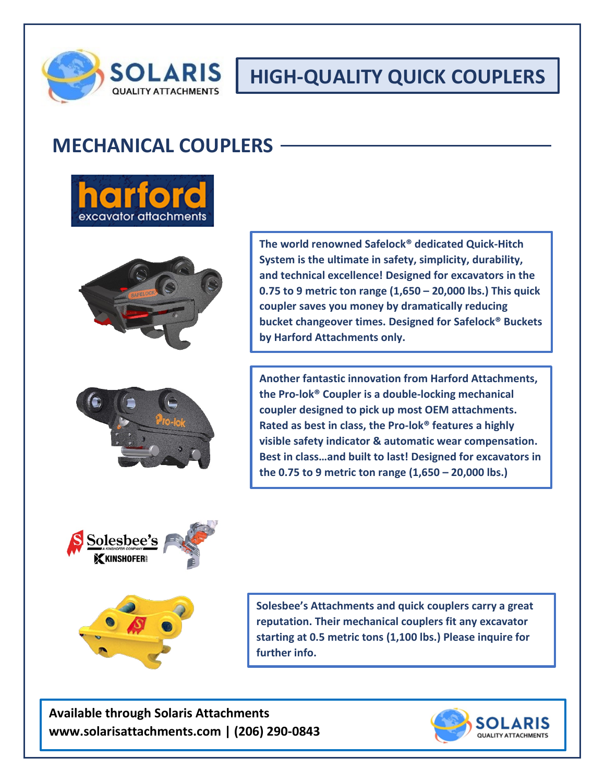

## **HIGH-QUALITY QUICK COUPLERS**

## **MECHANICAL COUPLERS**







**The world renowned Safelock® dedicated Quick-Hitch System is the ultimate in safety, simplicity, durability, and technical excellence! Designed for excavators in the 0.75 to 9 metric ton range (1,650 – 20,000 lbs.) This quick coupler saves you money by dramatically reducing bucket changeover times. Designed for Safelock® Buckets by Harford Attachments only.**

**Another fantastic innovation from Harford Attachments, the Pro-lok® Coupler is a double-locking mechanical coupler designed to pick up most OEM attachments. Rated as best in class, the Pro-lok® features a highly visible safety indicator & automatic wear compensation. Best in class…and built to last! Designed for excavators in the 0.75 to 9 metric ton range (1,650 – 20,000 lbs.)**





**Solesbee's Attachments and quick couplers carry a great reputation. Their mechanical couplers fit any excavator starting at 0.5 metric tons (1,100 lbs.) Please inquire for further info.**

**Available through Solaris Attachments www.solarisattachments.com | (206) 290-0843**